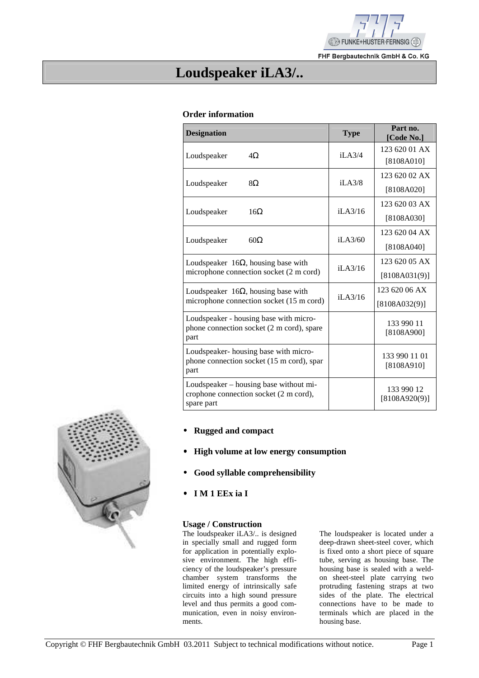

FHF Bergbautechnik GmbH & Co. KG

## **Loudspeaker iLA3/..**

#### **Order information**

| <b>Designation</b>                                                                                                         | <b>Type</b>                       | Part no.<br>[Code No.] |
|----------------------------------------------------------------------------------------------------------------------------|-----------------------------------|------------------------|
| Loudspeaker<br>$4\Omega$                                                                                                   | i <sub>L</sub> A <sub>3/4</sub>   | 123 620 01 AX          |
|                                                                                                                            |                                   | [8108A010]             |
| 8Ω                                                                                                                         | i <sub>L</sub> A <sub>3</sub> /8  | 123 620 02 AX          |
| Loudspeaker                                                                                                                |                                   | [8108A020]             |
| Loudspeaker<br>16 $\Omega$                                                                                                 | i <sub>L</sub> A <sub>3</sub> /16 | 123 620 03 AX          |
|                                                                                                                            |                                   | [8108A030]             |
| i <sub>L</sub> A <sub>3</sub> /60<br>$60\Omega$<br>Loudspeaker                                                             |                                   | 123 620 04 AX          |
|                                                                                                                            |                                   | [8108A040]             |
| Loudspeaker $16\Omega$ , housing base with<br>i <sub>L</sub> A <sub>3</sub> /16<br>microphone connection socket (2 m cord) |                                   | 123 620 05 AX          |
|                                                                                                                            |                                   | [8108A031(9)]          |
| Loudspeaker $16\Omega$ , housing base with                                                                                 | i <sub>L</sub> A <sub>3</sub> /16 | 123 620 06 AX          |
| microphone connection socket (15 m cord)                                                                                   |                                   | [8108A032(9)]          |
| Loudspeaker - housing base with micro-                                                                                     |                                   | 133 990 11             |
| phone connection socket (2 m cord), spare<br>part                                                                          |                                   | [8108A900]             |
| Loudspeaker-housing base with micro-                                                                                       |                                   | 133 990 11 01          |
| phone connection socket (15 m cord), spar<br>part                                                                          |                                   | [8108A910]             |
| Loudspeaker – housing base without mi-                                                                                     |                                   | 133 990 12             |
| crophone connection socket (2 m cord),<br>spare part                                                                       |                                   | [8108A920(9)]          |

- • **Rugged and compact**
- • **High volume at low energy consumption**
- • **Good syllable comprehensibility**
- • **I M 1 EEx ia I**

#### **Usage / Construction**

The loudspeaker iLA3/.. is designed in specially small and rugged form for application in potentially explosive environment. The high efficiency of the loudspeaker's pressure chamber system transforms the limited energy of intrinsically safe circuits into a high sound pressure level and thus permits a good communication, even in noisy environments.

The loudspeaker is located under a deep-drawn sheet-steel cover, which is fixed onto a short piece of square tube, serving as housing base. The housing base is sealed with a weldon sheet-steel plate carrying two protruding fastening straps at two sides of the plate. The electrical connections have to be made to terminals which are placed in the housing base.

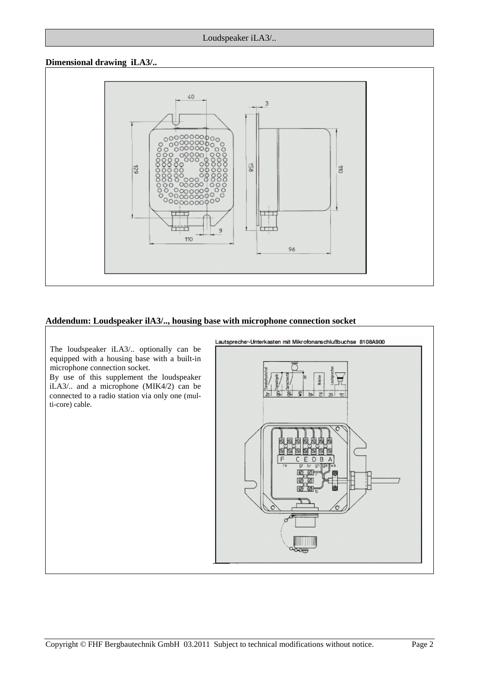#### **Dimensional drawing iLA3/..**



#### **Addendum: Loudspeaker ilA3/.., housing base with microphone connection socket**

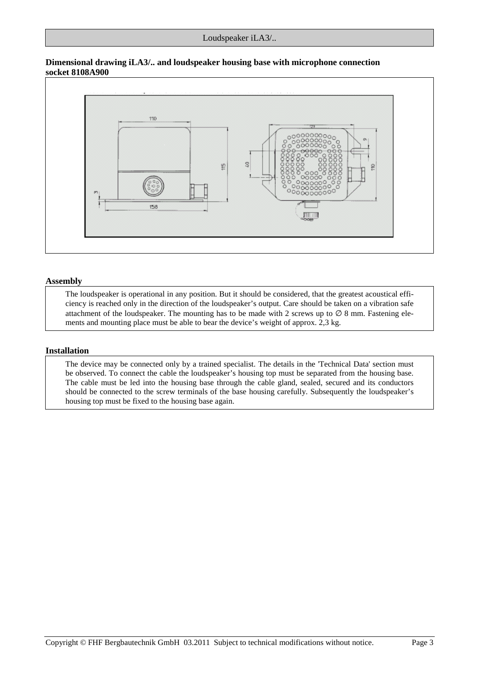#### **Dimensional drawing iLA3/.. and loudspeaker housing base with microphone connection socket 8108A900**



#### **Assembly**

The loudspeaker is operational in any position. But it should be considered, that the greatest acoustical efficiency is reached only in the direction of the loudspeaker's output. Care should be taken on a vibration safe attachment of the loudspeaker. The mounting has to be made with 2 screws up to  $\varnothing$  8 mm. Fastening elements and mounting place must be able to bear the device's weight of approx. 2,3 kg.

#### **Installation**

The device may be connected only by a trained specialist. The details in the 'Technical Data' section must be observed. To connect the cable the loudspeaker's housing top must be separated from the housing base. The cable must be led into the housing base through the cable gland, sealed, secured and its conductors should be connected to the screw terminals of the base housing carefully. Subsequently the loudspeaker's housing top must be fixed to the housing base again.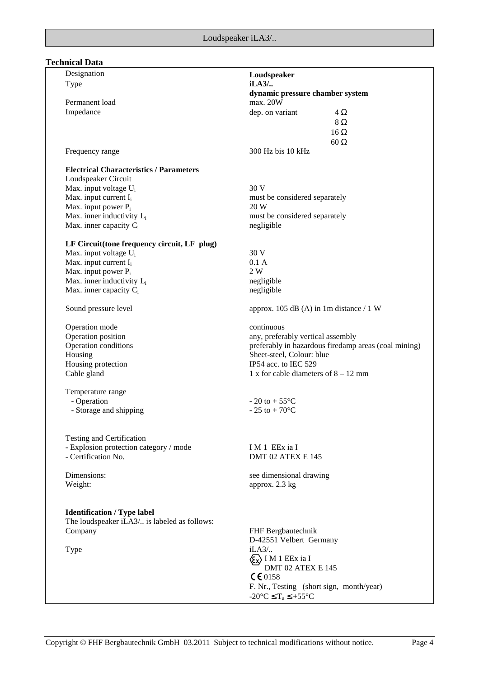## **Technical Data**

| Designation                                    | Loudspeaker                                          |
|------------------------------------------------|------------------------------------------------------|
| <b>Type</b>                                    | iLA3/                                                |
|                                                | dynamic pressure chamber system                      |
| Permanent load                                 | max. 20W                                             |
| Impedance                                      | dep. on variant<br>$4\Omega$                         |
|                                                |                                                      |
|                                                | $8\Omega$                                            |
|                                                | $16 \Omega$                                          |
|                                                | $60\,\Omega$                                         |
| Frequency range                                | 300 Hz bis 10 kHz                                    |
| <b>Electrical Characteristics / Parameters</b> |                                                      |
| Loudspeaker Circuit                            |                                                      |
| Max. input voltage U <sub>i</sub>              | 30 V                                                 |
| Max. input current I <sub>i</sub>              | must be considered separately                        |
| Max. input power P <sub>i</sub>                | 20 W                                                 |
| Max. inner inductivity $L_i$                   | must be considered separately                        |
| Max. inner capacity $C_i$                      | negligible                                           |
|                                                |                                                      |
| LF Circuit(tone frequency circuit, LF plug)    |                                                      |
| Max. input voltage U <sub>i</sub>              | 30 V                                                 |
| Max. input current I <sub>i</sub>              | 0.1A                                                 |
| Max. input power $P_i$                         | 2W                                                   |
| Max. inner inductivity L <sub>i</sub>          | negligible                                           |
| Max. inner capacity $C_i$                      | negligible                                           |
| Sound pressure level                           | approx. 105 dB (A) in 1m distance $/ 1 W$            |
| Operation mode                                 | continuous                                           |
| Operation position                             | any, preferably vertical assembly                    |
| Operation conditions                           | preferably in hazardous firedamp areas (coal mining) |
| Housing                                        | Sheet-steel, Colour: blue                            |
| Housing protection                             | IP54 acc. to IEC 529                                 |
| Cable gland                                    | 1 x for cable diameters of $8 - 12$ mm               |
| Temperature range                              |                                                      |
| - Operation                                    | $-20$ to $+55^{\circ}$ C                             |
| - Storage and shipping                         | $-25$ to $+70^{\circ}$ C                             |
|                                                |                                                      |
|                                                |                                                      |
| Testing and Certification                      |                                                      |
| - Explosion protection category / mode         | IM <sub>1</sub> EEx ia I                             |
| - Certification No.                            | DMT 02 ATEX E 145                                    |
| Dimensions:                                    | see dimensional drawing                              |
| Weight:                                        | approx. 2.3 kg                                       |
|                                                |                                                      |
| <b>Identification / Type label</b>             |                                                      |
| The loudspeaker iLA3/ is labeled as follows:   |                                                      |
| Company                                        | FHF Bergbautechnik                                   |
|                                                | D-42551 Velbert Germany                              |
| Type                                           | $iLA3/$                                              |
|                                                | $\langle \xi_{\mathbf{x}} \rangle$ I M 1 EEx ia I    |
|                                                | DMT 02 ATEX E 145                                    |
|                                                | $C \epsilon$ 0158                                    |
|                                                | F. Nr., Testing (short sign, month/year)             |
|                                                | $-20^{\circ}C \leq T_a \leq +55^{\circ}C$            |
|                                                |                                                      |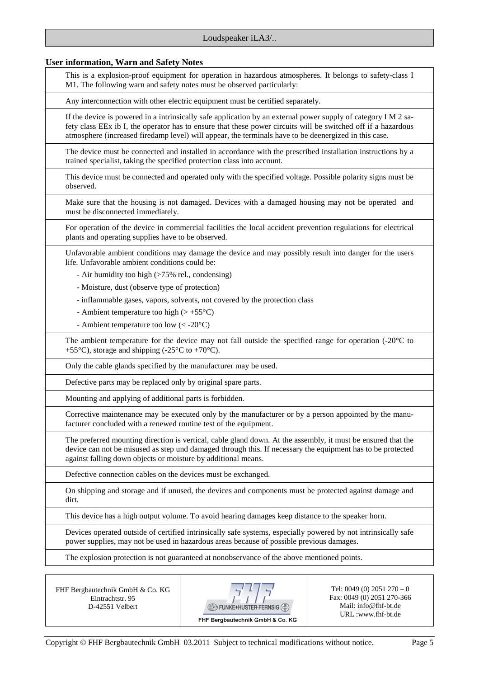#### **User information, Warn and Safety Notes**

This is a explosion-proof equipment for operation in hazardous atmospheres. It belongs to safety-class I M1. The following warn and safety notes must be observed particularly:

Any interconnection with other electric equipment must be certified separately.

If the device is powered in a intrinsically safe application by an external power supply of category I M 2 safety class EEx ib I, the operator has to ensure that these power circuits will be switched off if a hazardous atmosphere (increased firedamp level) will appear, the terminals have to be deenergized in this case.

The device must be connected and installed in accordance with the prescribed installation instructions by a trained specialist, taking the specified protection class into account.

This device must be connected and operated only with the specified voltage. Possible polarity signs must be observed.

Make sure that the housing is not damaged. Devices with a damaged housing may not be operated and must be disconnected immediately.

For operation of the device in commercial facilities the local accident prevention regulations for electrical plants and operating supplies have to be observed.

Unfavorable ambient conditions may damage the device and may possibly result into danger for the users life. Unfavorable ambient conditions could be:

- Air humidity too high (>75% rel., condensing)

- Moisture, dust (observe type of protection)

- inflammable gases, vapors, solvents, not covered by the protection class

- Ambient temperature too high  $(> +55^{\circ}C)$ 

- Ambient temperature too low (< -20°C)

The ambient temperature for the device may not fall outside the specified range for operation (-20°C to +55 $^{\circ}$ C), storage and shipping (-25 $^{\circ}$ C to +70 $^{\circ}$ C).

Only the cable glands specified by the manufacturer may be used.

Defective parts may be replaced only by original spare parts.

Mounting and applying of additional parts is forbidden.

Corrective maintenance may be executed only by the manufacturer or by a person appointed by the manufacturer concluded with a renewed routine test of the equipment.

The preferred mounting direction is vertical, cable gland down. At the assembly, it must be ensured that the device can not be misused as step und damaged through this. If necessary the equipment has to be protected against falling down objects or moisture by additional means.

Defective connection cables on the devices must be exchanged.

On shipping and storage and if unused, the devices and components must be protected against damage and dirt.

This device has a high output volume. To avoid hearing damages keep distance to the speaker horn.

Devices operated outside of certified intrinsically safe systems, especially powered by not intrinsically safe power supplies, may not be used in hazardous areas because of possible previous damages.

The explosion protection is not guaranteed at nonobservance of the above mentioned points.

FHF Bergbautechnik GmbH & Co. KG Eintrachtstr. 95 D-42551 Velbert



Tel: 0049 (0) 2051 270 – 0 Fax: 0049 (0) 2051 270-366 Mail: info@fhf-bt.de URL :www.fhf-bt.de